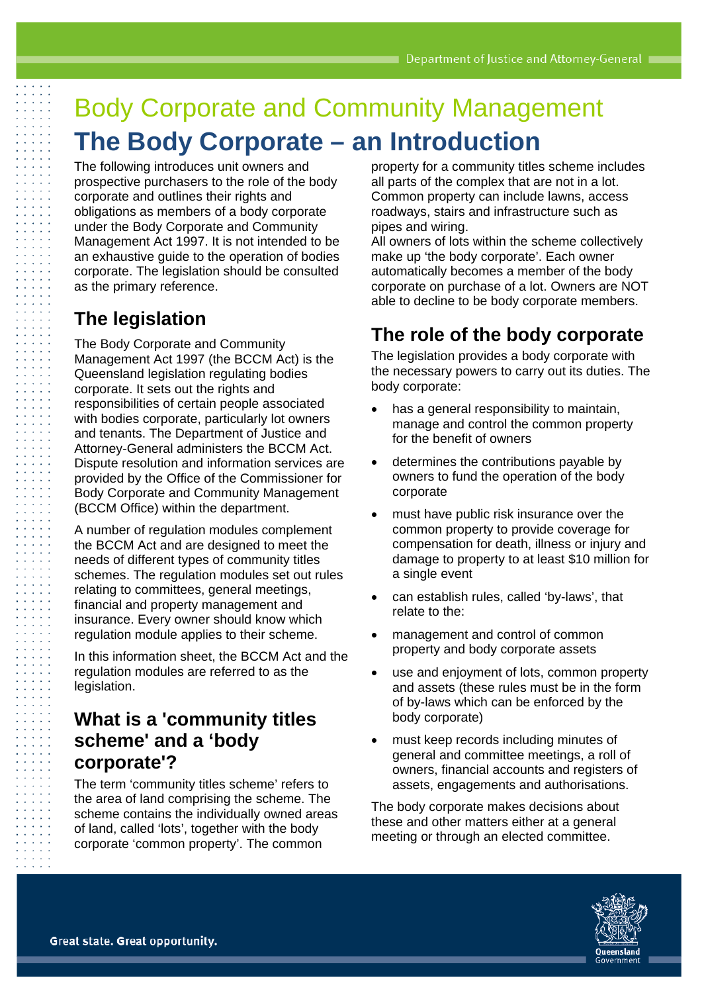# Body Corporate and Community Management **The Body Corporate – an Introduction**

The following introduces unit owners and prospective purchasers to the role of the body corporate and outlines their rights and obligations as members of a body corporate under the Body Corporate and Community Management Act 1997. It is not intended to be an exhaustive guide to the operation of bodies corporate. The legislation should be consulted as the primary reference.

# **The legislation**

The Body Corporate and Community Management Act 1997 (the BCCM Act) is the Queensland legislation regulating bodies corporate. It sets out the rights and responsibilities of certain people associated with bodies corporate, particularly lot owners and tenants. The Department of Justice and Attorney-General administers the BCCM Act. Dispute resolution and information services are provided by the Office of the Commissioner for Body Corporate and Community Management (BCCM Office) within the department.

A number of regulation modules complement the BCCM Act and are designed to meet the needs of different types of community titles schemes. The regulation modules set out rules relating to committees, general meetings, financial and property management and insurance. Every owner should know which regulation module applies to their scheme.

In this information sheet, the BCCM Act and the regulation modules are referred to as the legislation.

## **What is a 'community titles scheme' and a 'body corporate'?**

The term 'community titles scheme' refers to the area of land comprising the scheme. The scheme contains the individually owned areas of land, called 'lots', together with the body corporate 'common property'. The common

property for a community titles scheme includes all parts of the complex that are not in a lot. Common property can include lawns, access roadways, stairs and infrastructure such as pipes and wiring.

All owners of lots within the scheme collectively make up 'the body corporate'. Each owner automatically becomes a member of the body corporate on purchase of a lot. Owners are NOT able to decline to be body corporate members.

# **The role of the body corporate**

The legislation provides a body corporate with the necessary powers to carry out its duties. The body corporate:

- has a general responsibility to maintain, manage and control the common property for the benefit of owners
- determines the contributions payable by owners to fund the operation of the body corporate
- must have public risk insurance over the common property to provide coverage for compensation for death, illness or injury and damage to property to at least \$10 million for a single event
- can establish rules, called 'by-laws', that relate to the:
- management and control of common property and body corporate assets
- use and enjoyment of lots, common property and assets (these rules must be in the form of by-laws which can be enforced by the body corporate)
- must keep records including minutes of general and committee meetings, a roll of owners, financial accounts and registers of assets, engagements and authorisations.

The body corporate makes decisions about these and other matters either at a general meeting or through an elected committee.

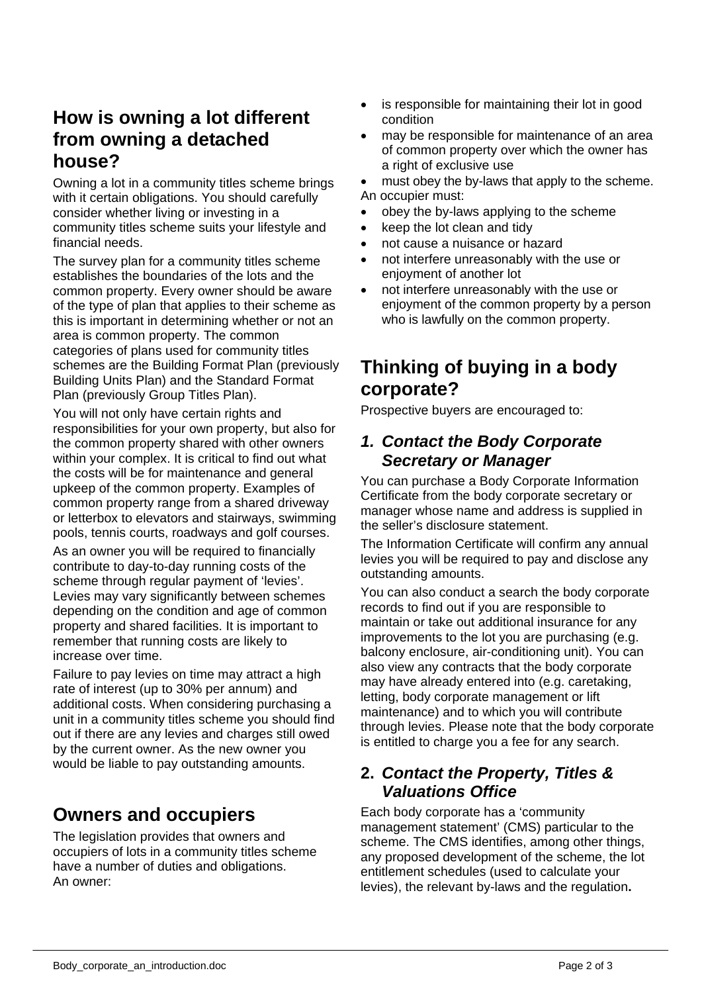# **How is owning a lot different from owning a detached house?**

Owning a lot in a community titles scheme brings with it certain obligations. You should carefully consider whether living or investing in a community titles scheme suits your lifestyle and financial needs.

The survey plan for a community titles scheme establishes the boundaries of the lots and the common property. Every owner should be aware of the type of plan that applies to their scheme as this is important in determining whether or not an area is common property. The common categories of plans used for community titles schemes are the Building Format Plan (previously Building Units Plan) and the Standard Format Plan (previously Group Titles Plan).

You will not only have certain rights and responsibilities for your own property, but also for the common property shared with other owners within your complex. It is critical to find out what the costs will be for maintenance and general upkeep of the common property. Examples of common property range from a shared driveway or letterbox to elevators and stairways, swimming pools, tennis courts, roadways and golf courses.

As an owner you will be required to financially contribute to day-to-day running costs of the scheme through regular payment of 'levies'. Levies may vary significantly between schemes depending on the condition and age of common property and shared facilities. It is important to remember that running costs are likely to increase over time.

Failure to pay levies on time may attract a high rate of interest (up to 30% per annum) and additional costs. When considering purchasing a unit in a community titles scheme you should find out if there are any levies and charges still owed by the current owner. As the new owner you would be liable to pay outstanding amounts.

# **Owners and occupiers**

The legislation provides that owners and occupiers of lots in a community titles scheme have a number of duties and obligations. An owner:

- is responsible for maintaining their lot in good condition
- may be responsible for maintenance of an area of common property over which the owner has a right of exclusive use
- must obey the by-laws that apply to the scheme. An occupier must:
- obey the by-laws applying to the scheme
- keep the lot clean and tidy
- not cause a nuisance or hazard
- not interfere unreasonably with the use or enjoyment of another lot
- not interfere unreasonably with the use or enjoyment of the common property by a person who is lawfully on the common property.

# **Thinking of buying in a body corporate?**

Prospective buyers are encouraged to:

### *1. Contact the Body Corporate Secretary or Manager*

You can purchase a Body Corporate Information Certificate from the body corporate secretary or manager whose name and address is supplied in the seller's disclosure statement.

The Information Certificate will confirm any annual levies you will be required to pay and disclose any outstanding amounts.

You can also conduct a search the body corporate records to find out if you are responsible to maintain or take out additional insurance for any improvements to the lot you are purchasing (e.g. balcony enclosure, air-conditioning unit). You can also view any contracts that the body corporate may have already entered into (e.g. caretaking, letting, body corporate management or lift maintenance) and to which you will contribute through levies. Please note that the body corporate is entitled to charge you a fee for any search.

### **2.** *Contact the Property, Titles & Valuations Office*

Each body corporate has a 'community management statement' (CMS) particular to the scheme. The CMS identifies, among other things, any proposed development of the scheme, the lot entitlement schedules (used to calculate your levies), the relevant by-laws and the regulation**.**